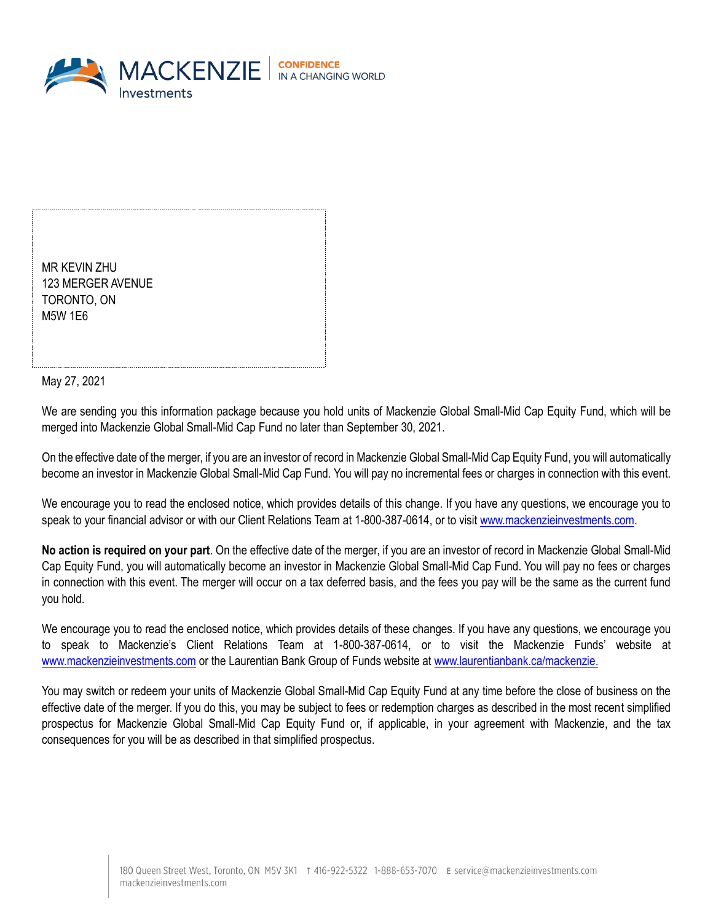

MR KEVIN ZHU 123 MERGER AVENUE TORONTO, ON M5W 1E6

May 27, 2021

We are sending you this information package because you hold units of Mackenzie Global Small-Mid Cap Equity Fund, which will be merged into Mackenzie Global Small-Mid Cap Fund no later than September 30, 2021.

On the effective date of the merger, if you are an investor of record in Mackenzie Global Small-Mid Cap Equity Fund, you will automatically become an investor in Mackenzie Global Small-Mid Cap Fund. You will pay no incremental fees or charges in connection with this event.

We encourage you to read the enclosed notice, which provides details of this change. If you have any questions, we encourage you to speak to your financial advisor or with our Client Relations Team at 1-800-387-0614, or to visit [www.mackenzieinvestments.com.](http://www.mackenzieinvestments.com/)

**No action is required on your part**. On the effective date of the merger, if you are an investor of record in Mackenzie Global Small-Mid Cap Equity Fund, you will automatically become an investor in Mackenzie Global Small-Mid Cap Fund. You will pay no fees or charges in connection with this event. The merger will occur on a tax deferred basis, and the fees you pay will be the same as the current fund you hold.

We encourage you to read the enclosed notice, which provides details of these changes. If you have any questions, we encourage you to speak to Mackenzie's Client Relations Team at 1-800-387-0614, or to visit the Mackenzie Funds' website at [www.mackenzieinvestments.com](http://www.mackenzieinvestments.com/) or the Laurentian Bank Group of Funds website at [www.laurentianbank.ca/mackenzie.](http://www.laurentianbank.ca/mackenzie)

You may switch or redeem your units of Mackenzie Global Small-Mid Cap Equity Fund at any time before the close of business on the effective date of the merger. If you do this, you may be subject to fees or redemption charges as described in the most recent simplified prospectus for Mackenzie Global Small-Mid Cap Equity Fund or, if applicable, in your agreement with Mackenzie, and the tax consequences for you will be as described in that simplified prospectus.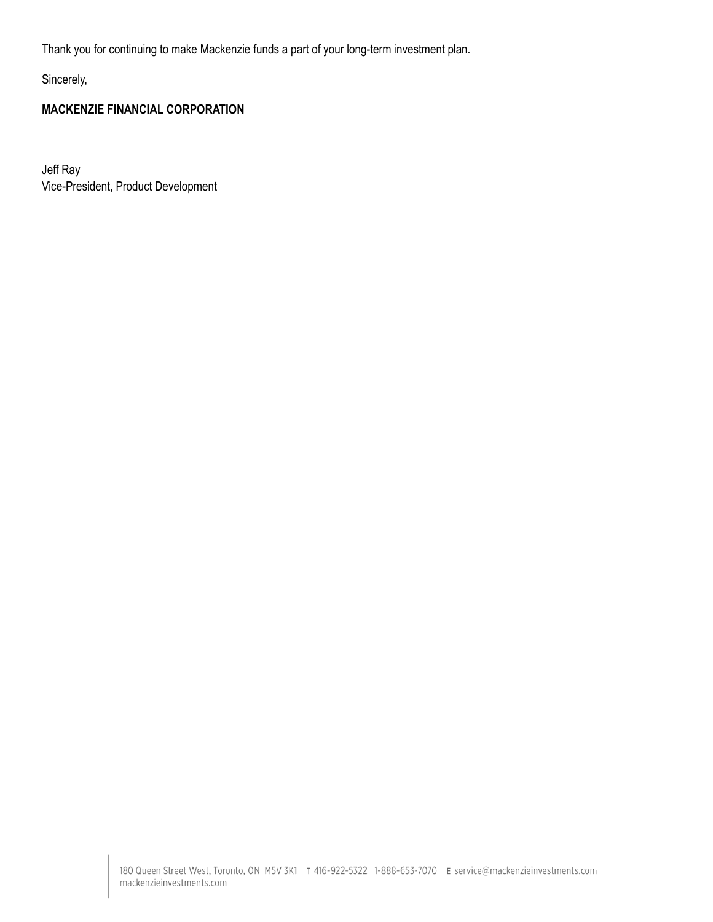Thank you for continuing to make Mackenzie funds a part of your long-term investment plan.

Sincerely,

### **MACKENZIE FINANCIAL CORPORATION**

Jeff Ray Vice-President, Product Development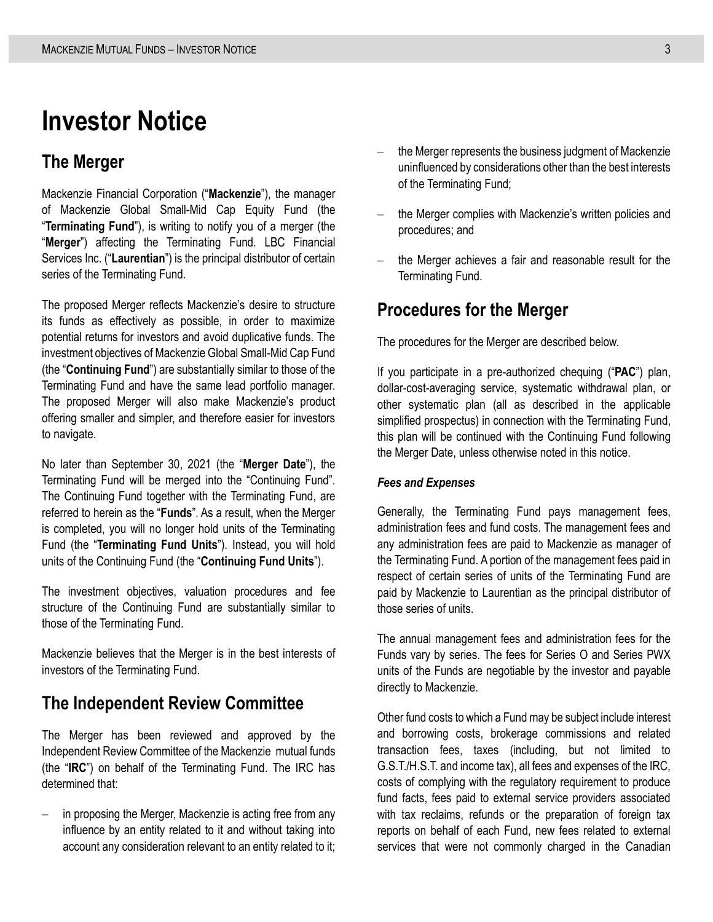# **Investor Notice**

### **The Merger**

Mackenzie Financial Corporation ("**Mackenzie**"), the manager of Mackenzie Global Small-Mid Cap Equity Fund (the "**Terminating Fund**"), is writing to notify you of a merger (the "**Merger**") affecting the Terminating Fund. LBC Financial Services Inc. ("**Laurentian**") is the principal distributor of certain series of the Terminating Fund.

The proposed Merger reflects Mackenzie's desire to structure its funds as effectively as possible, in order to maximize potential returns for investors and avoid duplicative funds. The investment objectives of Mackenzie Global Small-Mid Cap Fund (the "**Continuing Fund**") are substantially similar to those of the Terminating Fund and have the same lead portfolio manager. The proposed Merger will also make Mackenzie's product offering smaller and simpler, and therefore easier for investors to navigate.

No later than September 30, 2021 (the "**Merger Date**"), the Terminating Fund will be merged into the "Continuing Fund". The Continuing Fund together with the Terminating Fund, are referred to herein as the "**Funds**". As a result, when the Merger is completed, you will no longer hold units of the Terminating Fund (the "**Terminating Fund Units**"). Instead, you will hold units of the Continuing Fund (the "**Continuing Fund Units**").

The investment objectives, valuation procedures and fee structure of the Continuing Fund are substantially similar to those of the Terminating Fund.

Mackenzie believes that the Merger is in the best interests of investors of the Terminating Fund.

### **The Independent Review Committee**

The Merger has been reviewed and approved by the Independent Review Committee of the Mackenzie mutual funds (the "**IRC**") on behalf of the Terminating Fund. The IRC has determined that:

in proposing the Merger, Mackenzie is acting free from any influence by an entity related to it and without taking into account any consideration relevant to an entity related to it;

- the Merger represents the business judgment of Mackenzie uninfluenced by considerations other than the best interests of the Terminating Fund;
- the Merger complies with Mackenzie's written policies and procedures; and
- the Merger achieves a fair and reasonable result for the Terminating Fund.

### **Procedures for the Merger**

The procedures for the Merger are described below.

If you participate in a pre-authorized chequing ("**PAC**") plan, dollar-cost-averaging service, systematic withdrawal plan, or other systematic plan (all as described in the applicable simplified prospectus) in connection with the Terminating Fund, this plan will be continued with the Continuing Fund following the Merger Date, unless otherwise noted in this notice.

#### *Fees and Expenses*

Generally, the Terminating Fund pays management fees, administration fees and fund costs. The management fees and any administration fees are paid to Mackenzie as manager of the Terminating Fund. A portion of the management fees paid in respect of certain series of units of the Terminating Fund are paid by Mackenzie to Laurentian as the principal distributor of those series of units.

The annual management fees and administration fees for the Funds vary by series. The fees for Series O and Series PWX units of the Funds are negotiable by the investor and payable directly to Mackenzie.

Other fund costs to which a Fund may be subject include interest and borrowing costs, brokerage commissions and related transaction fees, taxes (including, but not limited to G.S.T./H.S.T. and income tax), all fees and expenses of the IRC, costs of complying with the regulatory requirement to produce fund facts, fees paid to external service providers associated with tax reclaims, refunds or the preparation of foreign tax reports on behalf of each Fund, new fees related to external services that were not commonly charged in the Canadian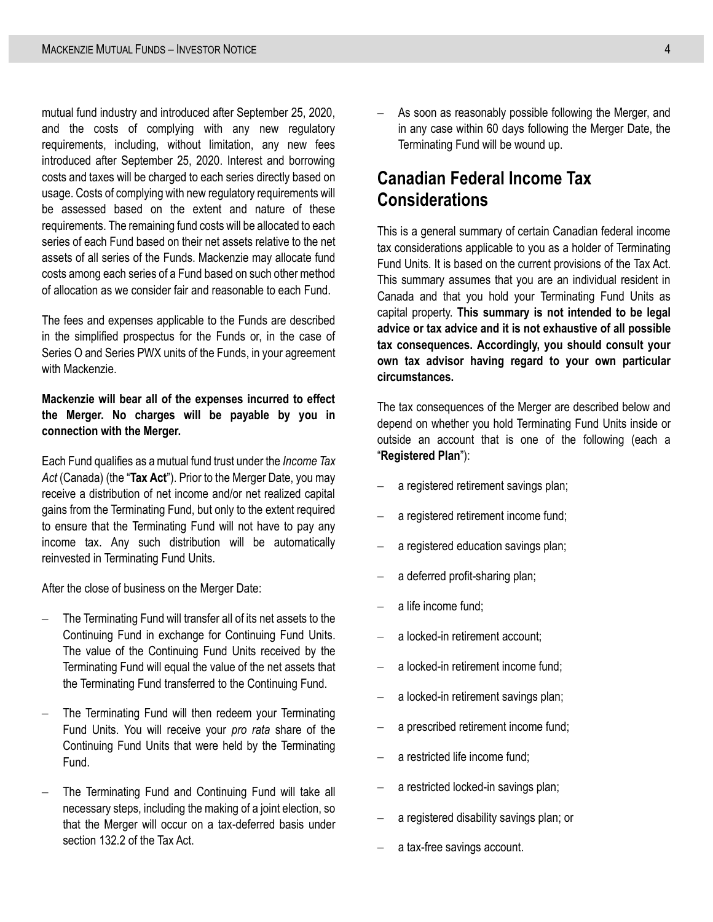mutual fund industry and introduced after September 25, 2020, and the costs of complying with any new regulatory requirements, including, without limitation, any new fees introduced after September 25, 2020. Interest and borrowing costs and taxes will be charged to each series directly based on usage. Costs of complying with new regulatory requirements will be assessed based on the extent and nature of these requirements. The remaining fund costs will be allocated to each series of each Fund based on their net assets relative to the net assets of all series of the Funds. Mackenzie may allocate fund costs among each series of a Fund based on such other method of allocation as we consider fair and reasonable to each Fund.

The fees and expenses applicable to the Funds are described in the simplified prospectus for the Funds or, in the case of Series O and Series PWX units of the Funds, in your agreement with Mackenzie.

#### **Mackenzie will bear all of the expenses incurred to effect the Merger. No charges will be payable by you in connection with the Merger.**

Each Fund qualifies as a mutual fund trust under the *Income Tax Act* (Canada) (the "**Tax Act**"). Prior to the Merger Date, you may receive a distribution of net income and/or net realized capital gains from the Terminating Fund, but only to the extent required to ensure that the Terminating Fund will not have to pay any income tax. Any such distribution will be automatically reinvested in Terminating Fund Units.

After the close of business on the Merger Date:

- The Terminating Fund will transfer all of its net assets to the Continuing Fund in exchange for Continuing Fund Units. The value of the Continuing Fund Units received by the Terminating Fund will equal the value of the net assets that the Terminating Fund transferred to the Continuing Fund.
- The Terminating Fund will then redeem your Terminating Fund Units. You will receive your *pro rata* share of the Continuing Fund Units that were held by the Terminating Fund.
- The Terminating Fund and Continuing Fund will take all necessary steps, including the making of a joint election, so that the Merger will occur on a tax-deferred basis under section 132.2 of the Tax Act.

– As soon as reasonably possible following the Merger, and in any case within 60 days following the Merger Date, the Terminating Fund will be wound up.

## **Canadian Federal Income Tax Considerations**

This is a general summary of certain Canadian federal income tax considerations applicable to you as a holder of Terminating Fund Units. It is based on the current provisions of the Tax Act. This summary assumes that you are an individual resident in Canada and that you hold your Terminating Fund Units as capital property. **This summary is not intended to be legal advice or tax advice and it is not exhaustive of all possible tax consequences. Accordingly, you should consult your own tax advisor having regard to your own particular circumstances.**

The tax consequences of the Merger are described below and depend on whether you hold Terminating Fund Units inside or outside an account that is one of the following (each a "**Registered Plan**"):

- a registered retirement savings plan;
- a registered retirement income fund;
- a registered education savings plan;
- a deferred profit-sharing plan;
- a life income fund;
- a locked-in retirement account;
- a locked-in retirement income fund;
- a locked-in retirement savings plan;
- a prescribed retirement income fund;
- a restricted life income fund:
- a restricted locked-in savings plan;
- a registered disability savings plan; or
- a tax-free savings account.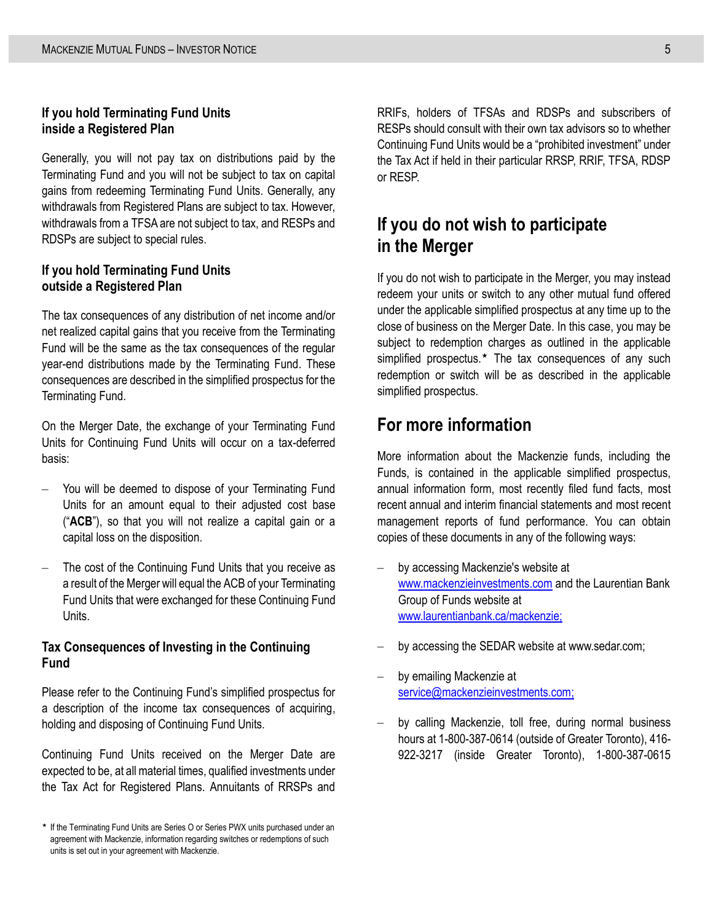#### **If you hold Terminating Fund Units inside a Registered Plan**

Generally, you will not pay tax on distributions paid by the Terminating Fund and you will not be subject to tax on capital gains from redeeming Terminating Fund Units. Generally, any withdrawals from Registered Plans are subject to tax. However, withdrawals from a TFSA are not subject to tax, and RESPs and RDSPs are subject to special rules.

#### **If you hold Terminating Fund Units outside a Registered Plan**

The tax consequences of any distribution of net income and/or net realized capital gains that you receive from the Terminating Fund will be the same as the tax consequences of the regular year-end distributions made by the Terminating Fund. These consequences are described in the simplified prospectus for the Terminating Fund.

On the Merger Date, the exchange of your Terminating Fund Units for Continuing Fund Units will occur on a tax-deferred basis:

- You will be deemed to dispose of your Terminating Fund Units for an amount equal to their adjusted cost base ("**ACB**"), so that you will not realize a capital gain or a capital loss on the disposition.
- The cost of the Continuing Fund Units that you receive as a result of the Merger will equal the ACB of your Terminating Fund Units that were exchanged for these Continuing Fund Units.

#### **Tax Consequences of Investing in the Continuing Fund**

Please refer to the Continuing Fund's simplified prospectus for a description of the income tax consequences of acquiring, holding and disposing of Continuing Fund Units.

Continuing Fund Units received on the Merger Date are expected to be, at all material times, qualified investments under the Tax Act for Registered Plans. Annuitants of RRSPs and

RRIFs, holders of TFSAs and RDSPs and subscribers of RESPs should consult with their own tax advisors so to whether Continuing Fund Units would be a "prohibited investment" under the Tax Act if held in their particular RRSP, RRIF, TFSA, RDSP or RESP.

### **If you do not wish to participate in the Merger**

If you do not wish to participate in the Merger, you may instead redeem your units or switch to any other mutual fund offered under the applicable simplified prospectus at any time up to the close of business on the Merger Date. In this case, you may be subject to redemption charges as outlined in the applicable simplified prospectus. $*$  The tax consequences of any such redemption or switch will be as described in the applicable simplified prospectus.

### **For more information**

More information about the Mackenzie funds, including the Funds, is contained in the applicable simplified prospectus, annual information form, most recently filed fund facts, most recent annual and interim financial statements and most recent management reports of fund performance. You can obtain copies of these documents in any of the following ways:

- by accessing Mackenzie's website at [www.mackenzieinvestments.com](http://www.mackenzieinvestments.com/) and the Laurentian Bank Group of Funds website at [www.laurentianbank.ca/m](http://www.laurentianbank.ca/)ackenzie;
- by accessing the SEDAR website at www.sedar.com;
- by emailing Mackenzie at [service@mackenzieinvestments.com;](mailto:service@mackenzieinvestments.com)
- by calling Mackenzie, toll free, during normal business hours at 1-800-387-0614 (outside of Greater Toronto), 416- 922-3217 (inside Greater Toronto), 1-800-387-0615

<sup>\*</sup> If the Terminating Fund Units are Series O or Series PWX units purchased under an agreement with Mackenzie, information regarding switches or redemptions of such units is set out in your agreement with Mackenzie.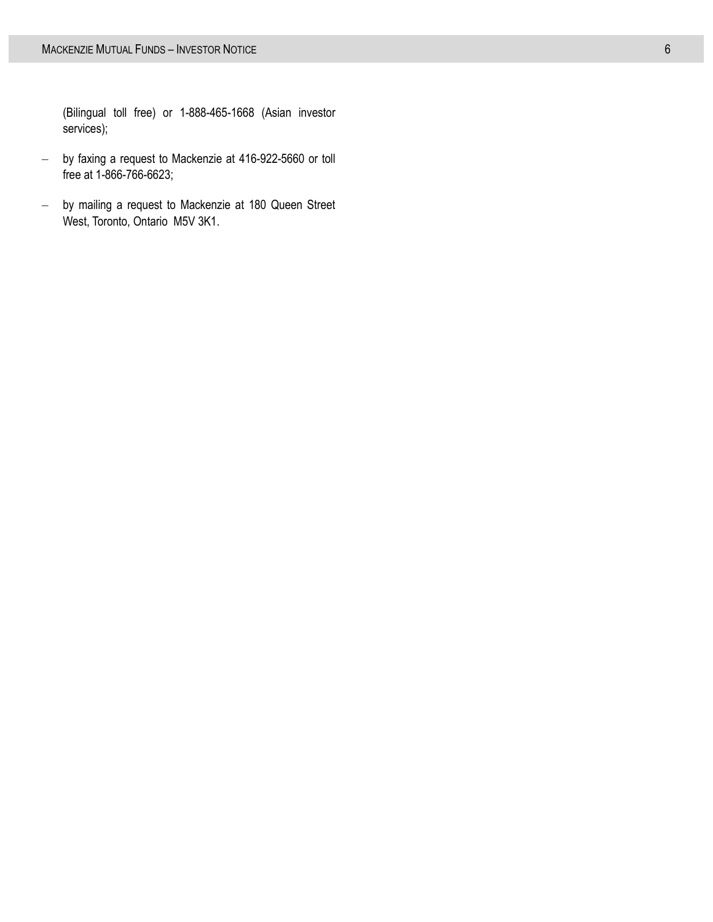(Bilingual toll free) or 1-888-465-1668 (Asian investor services);

- by faxing a request to Mackenzie at 416-922-5660 or toll free at 1-866-766-6623;
- by mailing a request to Mackenzie at 180 Queen Street West, Toronto, Ontario M5V 3K1.